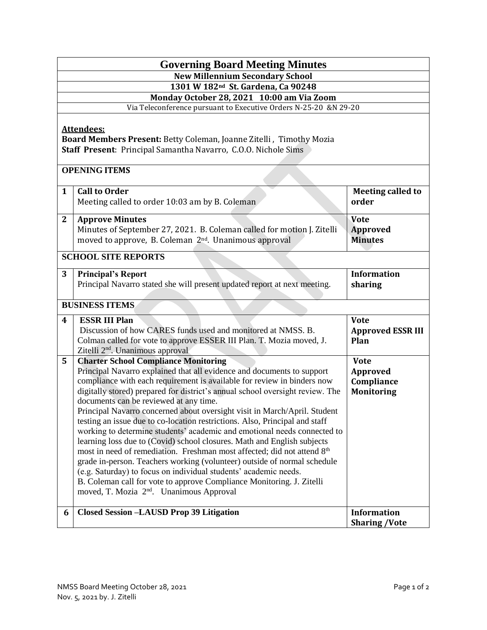| <b>Governing Board Meeting Minutes</b>                                                                                                                     |                                                                                                                                                                                                                                                                                                                                                                                                                                                                                                                                                                                                                                                                                                                                                                                                                                                                                                                                                                                                                        |                                                            |  |
|------------------------------------------------------------------------------------------------------------------------------------------------------------|------------------------------------------------------------------------------------------------------------------------------------------------------------------------------------------------------------------------------------------------------------------------------------------------------------------------------------------------------------------------------------------------------------------------------------------------------------------------------------------------------------------------------------------------------------------------------------------------------------------------------------------------------------------------------------------------------------------------------------------------------------------------------------------------------------------------------------------------------------------------------------------------------------------------------------------------------------------------------------------------------------------------|------------------------------------------------------------|--|
| <b>New Millennium Secondary School</b>                                                                                                                     |                                                                                                                                                                                                                                                                                                                                                                                                                                                                                                                                                                                                                                                                                                                                                                                                                                                                                                                                                                                                                        |                                                            |  |
| 1301 W 182 <sup>nd</sup> St. Gardena, Ca 90248                                                                                                             |                                                                                                                                                                                                                                                                                                                                                                                                                                                                                                                                                                                                                                                                                                                                                                                                                                                                                                                                                                                                                        |                                                            |  |
| Monday October 28, 2021 10:00 am Via Zoom                                                                                                                  |                                                                                                                                                                                                                                                                                                                                                                                                                                                                                                                                                                                                                                                                                                                                                                                                                                                                                                                                                                                                                        |                                                            |  |
| Via Teleconference pursuant to Executive Orders N-25-20 &N 29-20                                                                                           |                                                                                                                                                                                                                                                                                                                                                                                                                                                                                                                                                                                                                                                                                                                                                                                                                                                                                                                                                                                                                        |                                                            |  |
| <b>Attendees:</b><br>Board Members Present: Betty Coleman, Joanne Zitelli, Timothy Mozia<br>Staff Present: Principal Samantha Navarro, C.O.O. Nichole Sims |                                                                                                                                                                                                                                                                                                                                                                                                                                                                                                                                                                                                                                                                                                                                                                                                                                                                                                                                                                                                                        |                                                            |  |
| <b>OPENING ITEMS</b>                                                                                                                                       |                                                                                                                                                                                                                                                                                                                                                                                                                                                                                                                                                                                                                                                                                                                                                                                                                                                                                                                                                                                                                        |                                                            |  |
| $\mathbf{1}$                                                                                                                                               | <b>Call to Order</b><br>Meeting called to order 10:03 am by B. Coleman                                                                                                                                                                                                                                                                                                                                                                                                                                                                                                                                                                                                                                                                                                                                                                                                                                                                                                                                                 | <b>Meeting called to</b><br>order                          |  |
| $\mathbf{2}$                                                                                                                                               | <b>Approve Minutes</b><br>Minutes of September 27, 2021. B. Coleman called for motion J. Zitelli<br>moved to approve, B. Coleman 2 <sup>nd</sup> . Unanimous approval                                                                                                                                                                                                                                                                                                                                                                                                                                                                                                                                                                                                                                                                                                                                                                                                                                                  | <b>Vote</b><br><b>Approved</b><br><b>Minutes</b>           |  |
| <b>SCHOOL SITE REPORTS</b>                                                                                                                                 |                                                                                                                                                                                                                                                                                                                                                                                                                                                                                                                                                                                                                                                                                                                                                                                                                                                                                                                                                                                                                        |                                                            |  |
| 3                                                                                                                                                          | <b>Principal's Report</b><br>Principal Navarro stated she will present updated report at next meeting.                                                                                                                                                                                                                                                                                                                                                                                                                                                                                                                                                                                                                                                                                                                                                                                                                                                                                                                 | <b>Information</b><br>sharing                              |  |
| <b>BUSINESS ITEMS</b>                                                                                                                                      |                                                                                                                                                                                                                                                                                                                                                                                                                                                                                                                                                                                                                                                                                                                                                                                                                                                                                                                                                                                                                        |                                                            |  |
| 4                                                                                                                                                          | <b>ESSR III Plan</b><br>Discussion of how CARES funds used and monitored at NMSS. B.<br>Colman called for vote to approve ESSER III Plan. T. Mozia moved, J.<br>Zitelli 2 <sup>nd</sup> . Unanimous approval                                                                                                                                                                                                                                                                                                                                                                                                                                                                                                                                                                                                                                                                                                                                                                                                           | <b>Vote</b><br><b>Approved ESSR III</b><br>Plan            |  |
| 5                                                                                                                                                          | <b>Charter School Compliance Monitoring</b><br>Principal Navarro explained that all evidence and documents to support<br>compliance with each requirement is available for review in binders now<br>digitally stored) prepared for district's annual school oversight review. The<br>documents can be reviewed at any time.<br>Principal Navarro concerned about oversight visit in March/April. Student<br>testing an issue due to co-location restrictions. Also, Principal and staff<br>working to determine students' academic and emotional needs connected to<br>learning loss due to (Covid) school closures. Math and English subjects<br>most in need of remediation. Freshman most affected; did not attend 8 <sup>th</sup><br>grade in-person. Teachers working (volunteer) outside of normal schedule<br>(e.g. Saturday) to focus on individual students' academic needs.<br>B. Coleman call for vote to approve Compliance Monitoring. J. Zitelli<br>moved, T. Mozia 2 <sup>nd</sup> . Unanimous Approval | <b>Vote</b><br>Approved<br>Compliance<br><b>Monitoring</b> |  |
| 6                                                                                                                                                          | <b>Closed Session -LAUSD Prop 39 Litigation</b>                                                                                                                                                                                                                                                                                                                                                                                                                                                                                                                                                                                                                                                                                                                                                                                                                                                                                                                                                                        | <b>Information</b><br><b>Sharing /Vote</b>                 |  |